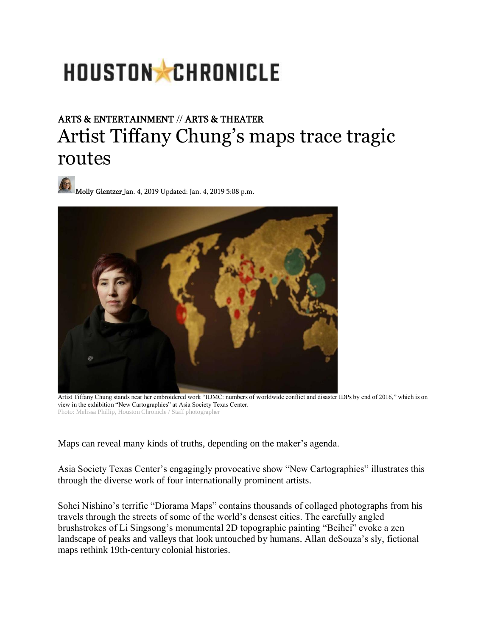# HOUSTON CHRONICLE

# ARTS & ENTERTAINMENT // ARTS & THEATER Artist Tiffany Chung's maps trace tragic routes

[Molly Glentzer J](https://www.houstonchronicle.com/author/molly-glentzer/)an. 4, 2019 Updated: Jan. 4, 2019 5:08 p.m.



Artist Tiffany Chung stands near her embroidered work "IDMC: numbers of worldwide conflict and disaster IDPs by end of 2016," which is on view in the exhibition "New Cartographies" at Asia Society Texas Center. Photo: Melissa Phillip, Houston Chronicle / Staff photographer

Maps can reveal many kinds of truths, depending on the maker's agenda.

Asia Society Texas Center's engagingly provocative show "New Cartographies" illustrates this through the diverse work of four internationally prominent artists.

Sohei Nishino's terrific "Diorama Maps" contains thousands of collaged photographs from his travels through the streets of some of the world's densest cities. The carefully angled brushstrokes of Li Singsong's monumental 2D topographic painting "Beihei" evoke a zen landscape of peaks and valleys that look untouched by humans. Allan deSouza's sly, fictional maps rethink 19th-century colonial histories.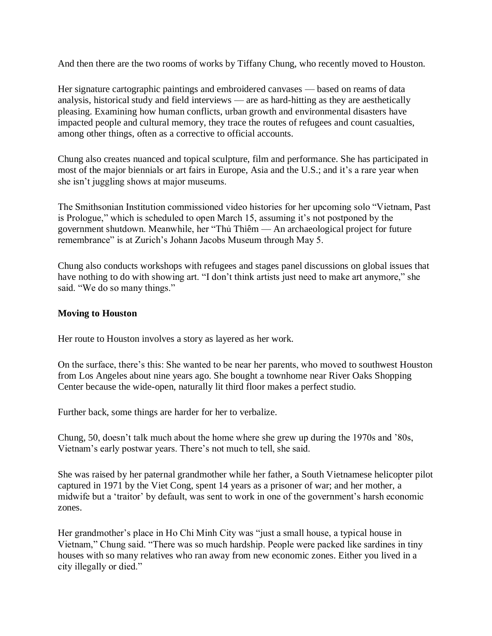And then there are the two rooms of works by Tiffany Chung, who recently moved to Houston.

Her signature cartographic paintings and embroidered canvases — based on reams of data analysis, historical study and field interviews — are as hard-hitting as they are aesthetically pleasing. Examining how human conflicts, urban growth and environmental disasters have impacted people and cultural memory, they trace the routes of refugees and count casualties, among other things, often as a corrective to official accounts.

Chung also creates nuanced and topical sculpture, film and performance. She has participated in most of the major biennials or art fairs in Europe, Asia and the U.S.; and it's a rare year when she isn't juggling shows at major museums.

The Smithsonian Institution commissioned video histories for her upcoming solo "Vietnam, Past is Prologue," which is scheduled to open March 15, assuming it's not postponed by the government shutdown. Meanwhile, her "Thủ Thiêm — An archaeological project for future remembrance" is at Zurich's Johann Jacobs Museum through May 5.

Chung also conducts workshops with refugees and stages panel discussions on global issues that have nothing to do with showing art. "I don't think artists just need to make art anymore," she said. "We do so many things."

#### **Moving to Houston**

Her route to Houston involves a story as layered as her work.

On the surface, there's this: She wanted to be near her parents, who moved to southwest Houston from Los Angeles about nine years ago. She bought a townhome near River Oaks Shopping Center because the wide-open, naturally lit third floor makes a perfect studio.

Further back, some things are harder for her to verbalize.

Chung, 50, doesn't talk much about the home where she grew up during the 1970s and '80s, Vietnam's early postwar years. There's not much to tell, she said.

She was raised by her paternal grandmother while her father, a South Vietnamese helicopter pilot captured in 1971 by the Viet Cong, spent 14 years as a prisoner of war; and her mother, a midwife but a 'traitor' by default, was sent to work in one of the government's harsh economic zones.

Her grandmother's place in Ho Chi Minh City was "just a small house, a typical house in Vietnam," Chung said. "There was so much hardship. People were packed like sardines in tiny houses with so many relatives who ran away from new economic zones. Either you lived in a city illegally or died."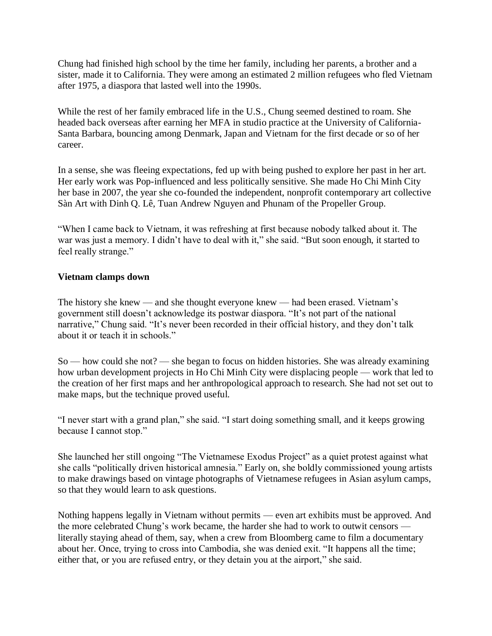Chung had finished high school by the time her family, including her parents, a brother and a sister, made it to California. They were among an estimated 2 million refugees who fled Vietnam after 1975, a diaspora that lasted well into the 1990s.

While the rest of her family embraced life in the U.S., Chung seemed destined to roam. She headed back overseas after earning her MFA in studio practice at the University of California-Santa Barbara, bouncing among Denmark, Japan and Vietnam for the first decade or so of her career.

In a sense, she was fleeing expectations, fed up with being pushed to explore her past in her art. Her early work was Pop-influenced and less politically sensitive. She made Ho Chi Minh City her base in 2007, the year she co-founded the independent, nonprofit contemporary art collective Sàn Art with Dinh Q. Lê, Tuan Andrew Nguyen and Phunam of the Propeller Group.

"When I came back to Vietnam, it was refreshing at first because nobody talked about it. The war was just a memory. I didn't have to deal with it," she said. "But soon enough, it started to feel really strange."

## **Vietnam clamps down**

The history she knew — and she thought everyone knew — had been erased. Vietnam's government still doesn't acknowledge its postwar diaspora. "It's not part of the national narrative," Chung said. "It's never been recorded in their official history, and they don't talk about it or teach it in schools."

So — how could she not? — she began to focus on hidden histories. She was already examining how urban development projects in Ho Chi Minh City were displacing people — work that led to the creation of her first maps and her anthropological approach to research. She had not set out to make maps, but the technique proved useful.

"I never start with a grand plan," she said. "I start doing something small, and it keeps growing because I cannot stop."

She launched her still ongoing "The Vietnamese Exodus Project" as a quiet protest against what she calls "politically driven historical amnesia." Early on, she boldly commissioned young artists to make drawings based on vintage photographs of Vietnamese refugees in Asian asylum camps, so that they would learn to ask questions.

Nothing happens legally in Vietnam without permits — even art exhibits must be approved. And the more celebrated Chung's work became, the harder she had to work to outwit censors literally staying ahead of them, say, when a crew from Bloomberg came to film a documentary about her. Once, trying to cross into Cambodia, she was denied exit. "It happens all the time; either that, or you are refused entry, or they detain you at the airport," she said.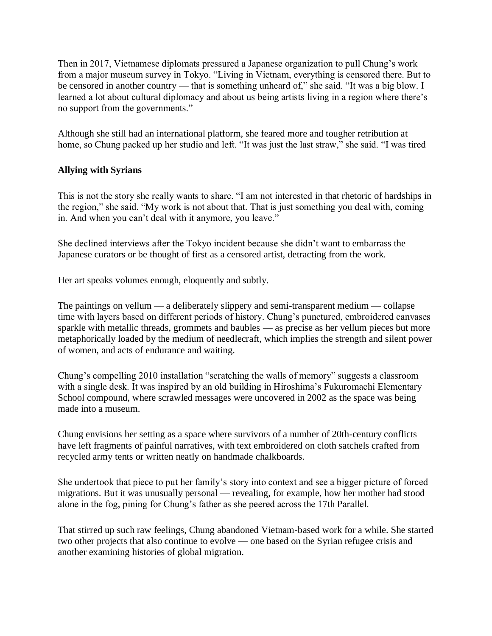Then in 2017, Vietnamese diplomats pressured a Japanese organization to pull Chung's work from a major museum survey in Tokyo. "Living in Vietnam, everything is censored there. But to be censored in another country — that is something unheard of," she said. "It was a big blow. I learned a lot about cultural diplomacy and about us being artists living in a region where there's no support from the governments."

Although she still had an international platform, she feared more and tougher retribution at home, so Chung packed up her studio and left. "It was just the last straw," she said. "I was tired

## **Allying with Syrians**

This is not the story she really wants to share. "I am not interested in that rhetoric of hardships in the region," she said. "My work is not about that. That is just something you deal with, coming in. And when you can't deal with it anymore, you leave."

She declined interviews after the Tokyo incident because she didn't want to embarrass the Japanese curators or be thought of first as a censored artist, detracting from the work.

Her art speaks volumes enough, eloquently and subtly.

The paintings on vellum — a deliberately slippery and semi-transparent medium — collapse time with layers based on different periods of history. Chung's punctured, embroidered canvases sparkle with metallic threads, grommets and baubles — as precise as her vellum pieces but more metaphorically loaded by the medium of needlecraft, which implies the strength and silent power of women, and acts of endurance and waiting.

Chung's compelling 2010 installation "scratching the walls of memory" suggests a classroom with a single desk. It was inspired by an old building in Hiroshima's Fukuromachi Elementary School compound, where scrawled messages were uncovered in 2002 as the space was being made into a museum.

Chung envisions her setting as a space where survivors of a number of 20th-century conflicts have left fragments of painful narratives, with text embroidered on cloth satchels crafted from recycled army tents or written neatly on handmade chalkboards.

She undertook that piece to put her family's story into context and see a bigger picture of forced migrations. But it was unusually personal — revealing, for example, how her mother had stood alone in the fog, pining for Chung's father as she peered across the 17th Parallel.

That stirred up such raw feelings, Chung abandoned Vietnam-based work for a while. She started two other projects that also continue to evolve — one based on the Syrian refugee crisis and another examining histories of global migration.